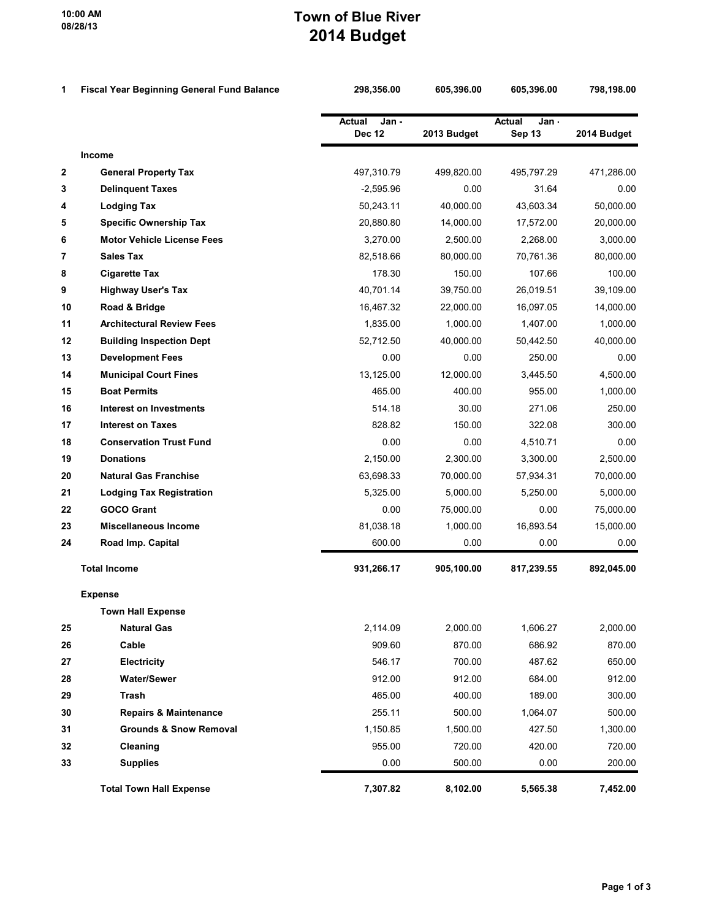## Town of Blue River 2014 Budget

| 1            | <b>Fiscal Year Beginning General Fund Balance</b> | 298,356.00                              | 605,396.00  | 605,396.00                       | 798,198.00  |
|--------------|---------------------------------------------------|-----------------------------------------|-------------|----------------------------------|-------------|
|              |                                                   | <b>Actual</b><br>Jan -<br><b>Dec 12</b> | 2013 Budget | <b>Actual</b><br>Jan -<br>Sep 13 | 2014 Budget |
|              | Income                                            |                                         |             |                                  |             |
| $\mathbf{2}$ | <b>General Property Tax</b>                       | 497,310.79                              | 499,820.00  | 495,797.29                       | 471,286.00  |
| 3            | <b>Delinquent Taxes</b>                           | $-2,595.96$                             | 0.00        | 31.64                            | 0.00        |
| 4            | <b>Lodging Tax</b>                                | 50,243.11                               | 40,000.00   | 43,603.34                        | 50,000.00   |
| 5            | <b>Specific Ownership Tax</b>                     | 20,880.80                               | 14,000.00   | 17,572.00                        | 20,000.00   |
| 6            | <b>Motor Vehicle License Fees</b>                 | 3,270.00                                | 2.500.00    | 2,268.00                         | 3,000.00    |
| 7            | <b>Sales Tax</b>                                  | 82,518.66                               | 80,000.00   | 70,761.36                        | 80,000.00   |
| 8            | <b>Cigarette Tax</b>                              | 178.30                                  | 150.00      | 107.66                           | 100.00      |
| 9            | <b>Highway User's Tax</b>                         | 40,701.14                               | 39,750.00   | 26,019.51                        | 39,109.00   |
| 10           | Road & Bridge                                     | 16,467.32                               | 22,000.00   | 16,097.05                        | 14,000.00   |
| 11           | <b>Architectural Review Fees</b>                  | 1,835.00                                | 1,000.00    | 1,407.00                         | 1,000.00    |
| 12           | <b>Building Inspection Dept</b>                   | 52,712.50                               | 40,000.00   | 50,442.50                        | 40,000.00   |
| 13           | <b>Development Fees</b>                           | 0.00                                    | 0.00        | 250.00                           | 0.00        |
| 14           | <b>Municipal Court Fines</b>                      | 13,125.00                               | 12,000.00   | 3,445.50                         | 4,500.00    |
| 15           | <b>Boat Permits</b>                               | 465.00                                  | 400.00      | 955.00                           | 1,000.00    |
| 16           | <b>Interest on Investments</b>                    | 514.18                                  | 30.00       | 271.06                           | 250.00      |
| 17           | <b>Interest on Taxes</b>                          | 828.82                                  | 150.00      | 322.08                           | 300.00      |
| 18           | <b>Conservation Trust Fund</b>                    | 0.00                                    | 0.00        | 4,510.71                         | 0.00        |
| 19           | <b>Donations</b>                                  | 2,150.00                                | 2,300.00    | 3,300.00                         | 2,500.00    |
| 20           | <b>Natural Gas Franchise</b>                      | 63,698.33                               | 70,000.00   | 57,934.31                        | 70,000.00   |
| 21           | <b>Lodging Tax Registration</b>                   | 5,325.00                                | 5,000.00    | 5,250.00                         | 5,000.00    |
| 22           | <b>GOCO Grant</b>                                 | 0.00                                    | 75,000.00   | 0.00                             | 75,000.00   |
| 23           | <b>Miscellaneous Income</b>                       | 81,038.18                               | 1,000.00    | 16,893.54                        | 15,000.00   |
| 24           | Road Imp. Capital                                 | 600.00                                  | 0.00        | 0.00                             | 0.00        |
|              | <b>Total Income</b>                               | 931,266.17                              | 905,100.00  | 817,239.55                       | 892,045.00  |
|              | <b>Expense</b>                                    |                                         |             |                                  |             |
|              | <b>Town Hall Expense</b>                          |                                         |             |                                  |             |
| 25           | <b>Natural Gas</b>                                | 2,114.09                                | 2,000.00    | 1,606.27                         | 2,000.00    |
| 26           | Cable                                             | 909.60                                  | 870.00      | 686.92                           | 870.00      |
| 27           | Electricity                                       | 546.17                                  | 700.00      | 487.62                           | 650.00      |
| 28           | <b>Water/Sewer</b>                                | 912.00                                  | 912.00      | 684.00                           | 912.00      |
| 29           | Trash                                             | 465.00                                  | 400.00      | 189.00                           | 300.00      |
| 30           | <b>Repairs &amp; Maintenance</b>                  | 255.11                                  | 500.00      | 1,064.07                         | 500.00      |
| 31           | <b>Grounds &amp; Snow Removal</b>                 | 1,150.85                                | 1,500.00    | 427.50                           | 1,300.00    |
| 32           | Cleaning                                          | 955.00                                  | 720.00      | 420.00                           | 720.00      |
| 33           | <b>Supplies</b>                                   | 0.00                                    | 500.00      | 0.00                             | 200.00      |
|              | <b>Total Town Hall Expense</b>                    | 7,307.82                                | 8,102.00    | 5,565.38                         | 7,452.00    |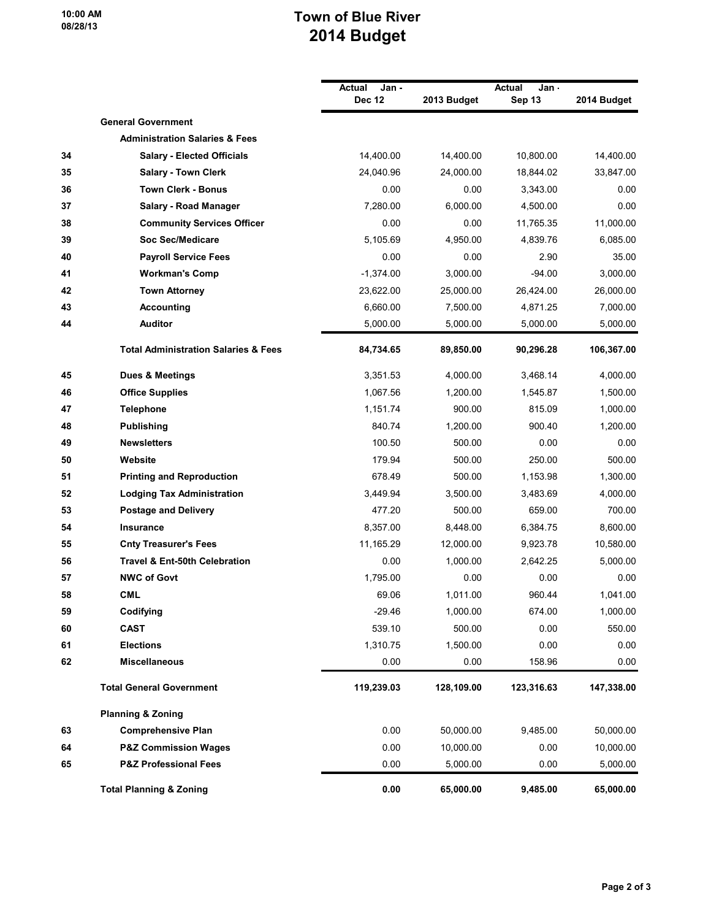10:00 AM 08/28/13

## Town of Blue River 2014 Budget

|    |                                                 | Actual<br>Jan -<br><b>Dec 12</b> | 2013 Budget | Actual<br>Jan -<br>Sep 13 | 2014 Budget |
|----|-------------------------------------------------|----------------------------------|-------------|---------------------------|-------------|
|    | <b>General Government</b>                       |                                  |             |                           |             |
|    | <b>Administration Salaries &amp; Fees</b>       |                                  |             |                           |             |
| 34 | <b>Salary - Elected Officials</b>               | 14,400.00                        | 14,400.00   | 10,800.00                 | 14,400.00   |
| 35 | <b>Salary - Town Clerk</b>                      | 24,040.96                        | 24,000.00   | 18,844.02                 | 33,847.00   |
| 36 | <b>Town Clerk - Bonus</b>                       | 0.00                             | 0.00        | 3,343.00                  | 0.00        |
| 37 | <b>Salary - Road Manager</b>                    | 7,280.00                         | 6,000.00    | 4,500.00                  | 0.00        |
| 38 | <b>Community Services Officer</b>               | 0.00                             | 0.00        | 11,765.35                 | 11,000.00   |
| 39 | <b>Soc Sec/Medicare</b>                         | 5,105.69                         | 4,950.00    | 4,839.76                  | 6,085.00    |
| 40 | <b>Payroll Service Fees</b>                     | 0.00                             | 0.00        | 2.90                      | 35.00       |
| 41 | <b>Workman's Comp</b>                           | $-1,374.00$                      | 3,000.00    | $-94.00$                  | 3,000.00    |
| 42 | <b>Town Attorney</b>                            | 23,622.00                        | 25,000.00   | 26,424.00                 | 26,000.00   |
| 43 | <b>Accounting</b>                               | 6,660.00                         | 7,500.00    | 4,871.25                  | 7,000.00    |
| 44 | <b>Auditor</b>                                  | 5,000.00                         | 5,000.00    | 5,000.00                  | 5,000.00    |
|    | <b>Total Administration Salaries &amp; Fees</b> | 84,734.65                        | 89,850.00   | 90,296.28                 | 106,367.00  |
| 45 | <b>Dues &amp; Meetings</b>                      | 3,351.53                         | 4,000.00    | 3,468.14                  | 4,000.00    |
| 46 | <b>Office Supplies</b>                          | 1,067.56                         | 1,200.00    | 1,545.87                  | 1,500.00    |
| 47 | <b>Telephone</b>                                | 1,151.74                         | 900.00      | 815.09                    | 1,000.00    |
| 48 | <b>Publishing</b>                               | 840.74                           | 1,200.00    | 900.40                    | 1,200.00    |
| 49 | <b>Newsletters</b>                              | 100.50                           | 500.00      | 0.00                      | 0.00        |
| 50 | Website                                         | 179.94                           | 500.00      | 250.00                    | 500.00      |
| 51 | <b>Printing and Reproduction</b>                | 678.49                           | 500.00      | 1,153.98                  | 1,300.00    |
| 52 | <b>Lodging Tax Administration</b>               | 3,449.94                         | 3,500.00    | 3,483.69                  | 4,000.00    |
| 53 | <b>Postage and Delivery</b>                     | 477.20                           | 500.00      | 659.00                    | 700.00      |
| 54 | <b>Insurance</b>                                | 8,357.00                         | 8,448.00    | 6,384.75                  | 8,600.00    |
| 55 | <b>Cnty Treasurer's Fees</b>                    | 11,165.29                        | 12,000.00   | 9,923.78                  | 10,580.00   |
| 56 | Travel & Ent-50th Celebration                   | 0.00                             | 1,000.00    | 2,642.25                  | 5,000.00    |
| 57 | <b>NWC of Govt</b>                              | 1,795.00                         | 0.00        | 0.00                      | 0.00        |
| 58 | <b>CML</b>                                      | 69.06                            | 1,011.00    | 960.44                    | 1,041.00    |
| 59 | Codifying                                       | $-29.46$                         | 1,000.00    | 674.00                    | 1,000.00    |
| 60 | <b>CAST</b>                                     | 539.10                           | 500.00      | 0.00                      | 550.00      |
| 61 | <b>Elections</b>                                | 1,310.75                         | 1,500.00    | 0.00                      | 0.00        |
| 62 | <b>Miscellaneous</b>                            | 0.00                             | 0.00        | 158.96                    | 0.00        |
|    | <b>Total General Government</b>                 | 119,239.03                       | 128,109.00  | 123,316.63                | 147,338.00  |
|    | <b>Planning &amp; Zoning</b>                    |                                  |             |                           |             |
| 63 | <b>Comprehensive Plan</b>                       | 0.00                             | 50,000.00   | 9,485.00                  | 50,000.00   |
| 64 | <b>P&amp;Z Commission Wages</b>                 | 0.00                             | 10,000.00   | 0.00                      | 10,000.00   |
| 65 | <b>P&amp;Z Professional Fees</b>                | 0.00                             | 5,000.00    | 0.00                      | 5,000.00    |
|    | <b>Total Planning &amp; Zoning</b>              | 0.00                             | 65,000.00   | 9,485.00                  | 65,000.00   |